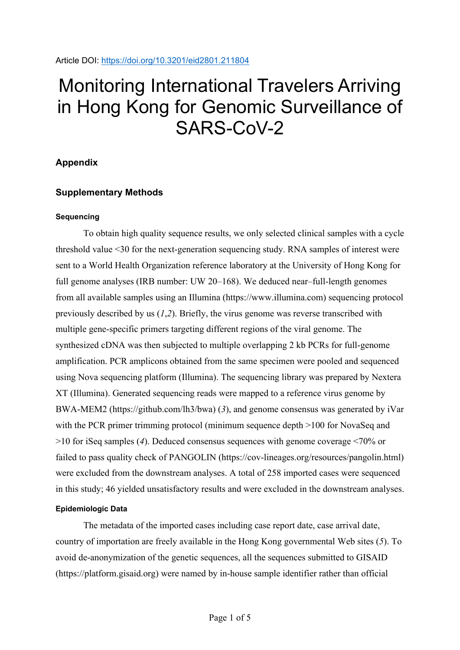# Monitoring International Travelers Arriving in Hong Kong for Genomic Surveillance of SARS-CoV-2

# **Appendix**

# **Supplementary Methods**

## **Sequencing**

To obtain high quality sequence results, we only selected clinical samples with a cycle threshold value <30 for the next-generation sequencing study. RNA samples of interest were sent to a World Health Organization reference laboratory at the University of Hong Kong for full genome analyses (IRB number: UW 20–168). We deduced near–full-length genomes from all available samples using an Illumina (https://www.illumina.com) sequencing protocol previously described by us (*1*,*2*). Briefly, the virus genome was reverse transcribed with multiple gene-specific primers targeting different regions of the viral genome. The synthesized cDNA was then subjected to multiple overlapping 2 kb PCRs for full-genome amplification. PCR amplicons obtained from the same specimen were pooled and sequenced using Nova sequencing platform (Illumina). The sequencing library was prepared by Nextera XT (Illumina). Generated sequencing reads were mapped to a reference virus genome by BWA-MEM2 (https://github.com/lh3/bwa) (*3*), and genome consensus was generated by iVar with the PCR primer trimming protocol (minimum sequence depth >100 for NovaSeq and >10 for iSeq samples (*4*). Deduced consensus sequences with genome coverage <70% or failed to pass quality check of PANGOLIN (https://cov-lineages.org/resources/pangolin.html) were excluded from the downstream analyses. A total of 258 imported cases were sequenced in this study; 46 yielded unsatisfactory results and were excluded in the downstream analyses.

# **Epidemiologic Data**

The metadata of the imported cases including case report date, case arrival date, country of importation are freely available in the Hong Kong governmental Web sites (*5*). To avoid de-anonymization of the genetic sequences, all the sequences submitted to GISAID (https://platform.gisaid.org) were named by in-house sample identifier rather than official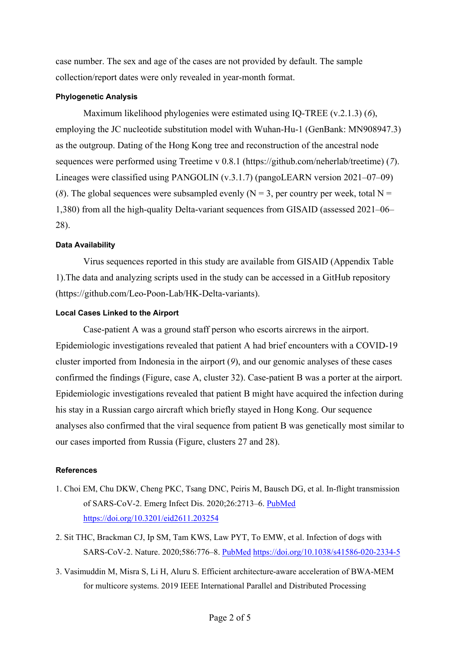case number. The sex and age of the cases are not provided by default. The sample collection/report dates were only revealed in year-month format.

## **Phylogenetic Analysis**

Maximum likelihood phylogenies were estimated using IQ-TREE (v.2.1.3) (*6*), employing the JC nucleotide substitution model with Wuhan-Hu-1 (GenBank: MN908947.3) as the outgroup. Dating of the Hong Kong tree and reconstruction of the ancestral node sequences were performed using Treetime v 0.8.1 (https://github.com/neherlab/treetime) (*7*). Lineages were classified using PANGOLIN (v.3.1.7) (pangoLEARN version 2021–07–09) (8). The global sequences were subsampled evenly ( $N = 3$ , per country per week, total  $N =$ 1,380) from all the high-quality Delta-variant sequences from GISAID (assessed 2021–06– 28).

## **Data Availability**

Virus sequences reported in this study are available from GISAID (Appendix Table 1).The data and analyzing scripts used in the study can be accessed in a GitHub repository (https://github.com/Leo-Poon-Lab/HK-Delta-variants).

## **Local Cases Linked to the Airport**

Case-patient A was a ground staff person who escorts aircrews in the airport. Epidemiologic investigations revealed that patient A had brief encounters with a COVID-19 cluster imported from Indonesia in the airport (*9*), and our genomic analyses of these cases confirmed the findings (Figure, case A, cluster 32). Case-patient B was a porter at the airport. Epidemiologic investigations revealed that patient B might have acquired the infection during his stay in a Russian cargo aircraft which briefly stayed in Hong Kong. Our sequence analyses also confirmed that the viral sequence from patient B was genetically most similar to our cases imported from Russia (Figure, clusters 27 and 28).

## **References**

- 1. Choi EM, Chu DKW, Cheng PKC, Tsang DNC, Peiris M, Bausch DG, et al. In-flight transmission of SARS-CoV-2. Emerg Infect Dis. 2020;26:2713–6. [PubMed](https://www.ncbi.nlm.nih.gov/entrez/query.fcgi?cmd=Retrieve&db=PubMed&list_uids=32946370&dopt=Abstract) <https://doi.org/10.3201/eid2611.203254>
- 2. Sit THC, Brackman CJ, Ip SM, Tam KWS, Law PYT, To EMW, et al. Infection of dogs with SARS-CoV-2. Nature. 2020;586:776–8. [PubMed](https://www.ncbi.nlm.nih.gov/entrez/query.fcgi?cmd=Retrieve&db=PubMed&list_uids=32408337&dopt=Abstract) <https://doi.org/10.1038/s41586-020-2334-5>
- 3. Vasimuddin M, Misra S, Li H, Aluru S. Efficient architecture-aware acceleration of BWA-MEM for multicore systems. 2019 IEEE International Parallel and Distributed Processing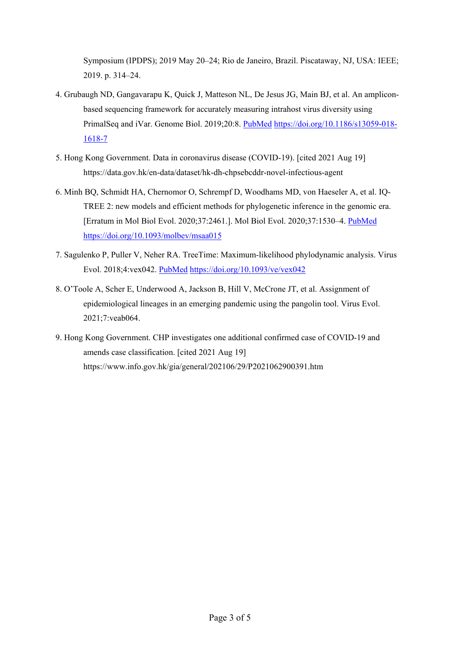Symposium (IPDPS); 2019 May 20–24; Rio de Janeiro, Brazil. Piscataway, NJ, USA: IEEE; 2019. p. 314–24.

- 4. Grubaugh ND, Gangavarapu K, Quick J, Matteson NL, De Jesus JG, Main BJ, et al. An ampliconbased sequencing framework for accurately measuring intrahost virus diversity using PrimalSeq and iVar. Genome Biol. 2019;20:8. [PubMed](https://www.ncbi.nlm.nih.gov/entrez/query.fcgi?cmd=Retrieve&db=PubMed&list_uids=30621750&dopt=Abstract) [https://doi.org/10.1186/s13059-018-](https://doi.org/10.1186/s13059-018-1618-7) [1618-7](https://doi.org/10.1186/s13059-018-1618-7)
- 5. Hong Kong Government. Data in coronavirus disease (COVID-19). [cited 2021 Aug 19] https://data.gov.hk/en-data/dataset/hk-dh-chpsebcddr-novel-infectious-agent
- 6. Minh BQ, Schmidt HA, Chernomor O, Schrempf D, Woodhams MD, von Haeseler A, et al. IQ-TREE 2: new models and efficient methods for phylogenetic inference in the genomic era. [Erratum in Mol Biol Evol. 2020;37:2461.]. Mol Biol Evol. 2020;37:1530–4. [PubMed](https://www.ncbi.nlm.nih.gov/entrez/query.fcgi?cmd=Retrieve&db=PubMed&list_uids=32011700&dopt=Abstract) <https://doi.org/10.1093/molbev/msaa015>
- 7. Sagulenko P, Puller V, Neher RA. TreeTime: Maximum-likelihood phylodynamic analysis. Virus Evol. 2018;4:vex042. [PubMed](https://www.ncbi.nlm.nih.gov/entrez/query.fcgi?cmd=Retrieve&db=PubMed&list_uids=29340210&dopt=Abstract) <https://doi.org/10.1093/ve/vex042>
- 8. O'Toole A, Scher E, Underwood A, Jackson B, Hill V, McCrone JT, et al. Assignment of epidemiological lineages in an emerging pandemic using the pangolin tool. Virus Evol. 2021;7:veab064.
- 9. Hong Kong Government. CHP investigates one additional confirmed case of COVID-19 and amends case classification. [cited 2021 Aug 19] https://www.info.gov.hk/gia/general/202106/29/P2021062900391.htm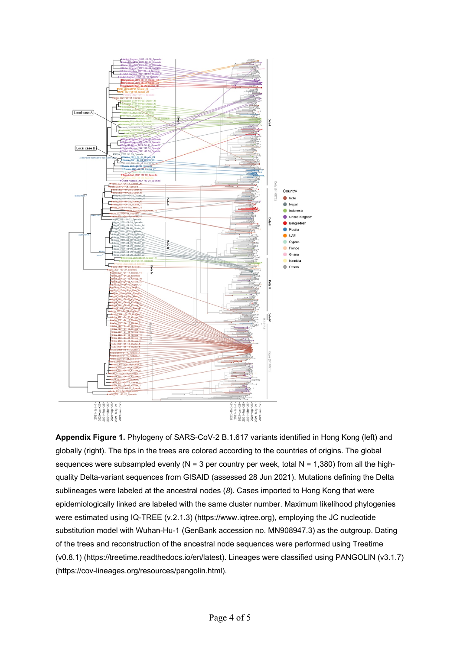

**Appendix Figure 1.** Phylogeny of SARS-CoV-2 B.1.617 variants identified in Hong Kong (left) and globally (right). The tips in the trees are colored according to the countries of origins. The global sequences were subsampled evenly ( $N = 3$  per country per week, total  $N = 1,380$ ) from all the highquality Delta-variant sequences from GISAID (assessed 28 Jun 2021). Mutations defining the Delta sublineages were labeled at the ancestral nodes (*8*). Cases imported to Hong Kong that were epidemiologically linked are labeled with the same cluster number. Maximum likelihood phylogenies were estimated using IQ-TREE (v.2.1.3) (https://www.iqtree.org), employing the JC nucleotide substitution model with Wuhan-Hu-1 (GenBank accession no. MN908947.3) as the outgroup. Dating of the trees and reconstruction of the ancestral node sequences were performed using Treetime (v0.8.1) (https://treetime.readthedocs.io/en/latest). Lineages were classified using PANGOLIN (v3.1.7) (https://cov-lineages.org/resources/pangolin.html).